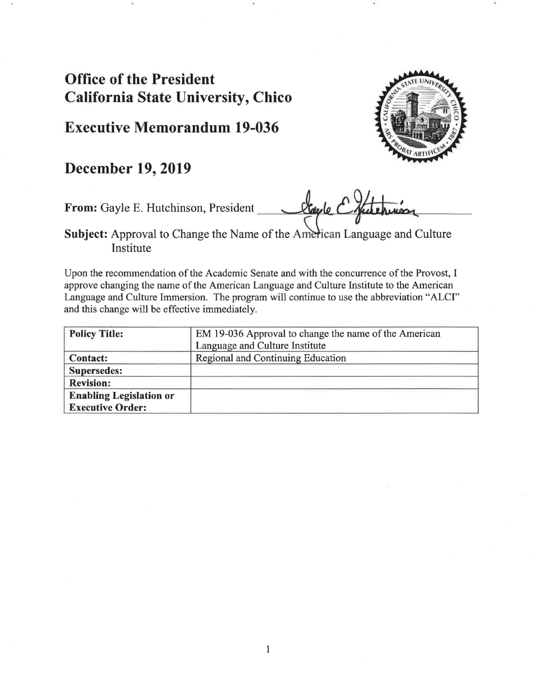## **Office of the President California State University, Chico**

## **Executive Memorandum 19-036**



### **December 19, 2019**

From: Gayle E. Hutchinson, President *Revie* C.

**Subject:** Approval to Change the Name of the American Language and Culture Institute

Upon the recommendation of the Academic Senate and with the concurrence of the Provost, I approve changing the name of the American Language and Culture Institute to the American Language and Culture Immersion. The program will continue to use the abbreviation "ALCI" and this change will be effective immediately.

| <b>Policy Title:</b>           | EM 19-036 Approval to change the name of the American |
|--------------------------------|-------------------------------------------------------|
|                                | Language and Culture Institute                        |
| Contact:                       | Regional and Continuing Education                     |
| <b>Supersedes:</b>             |                                                       |
| <b>Revision:</b>               |                                                       |
| <b>Enabling Legislation or</b> |                                                       |
| <b>Executive Order:</b>        |                                                       |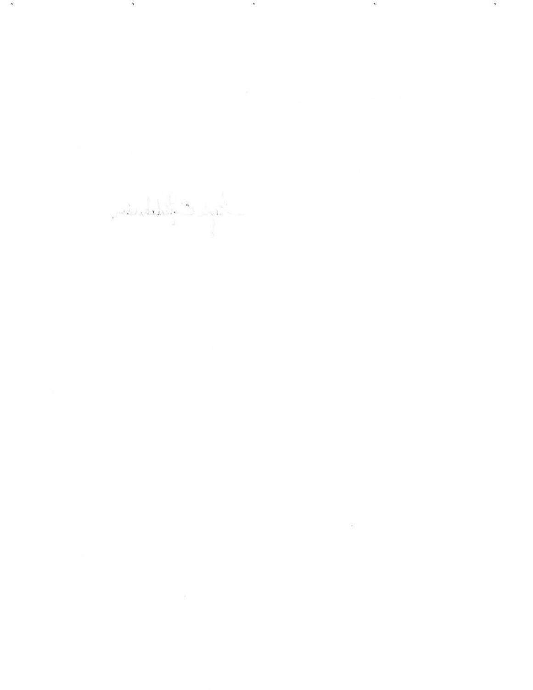

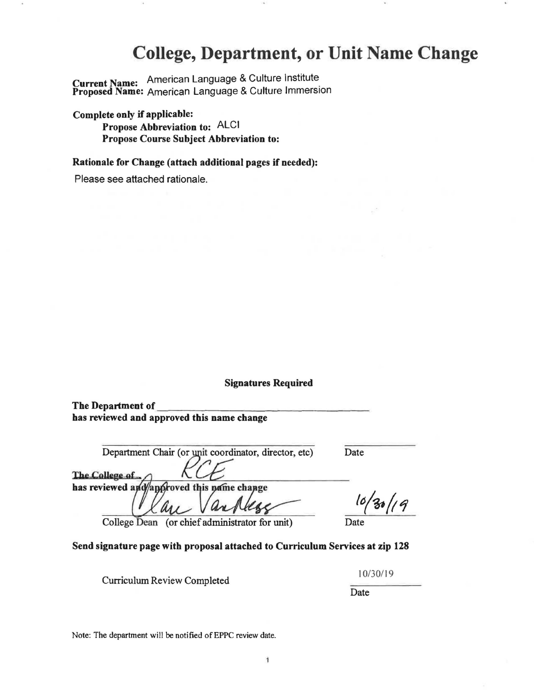# **College, Department, or Unit Name Change**

American Language & Culture Institute <sup>C</sup>**urren**t N**ame:** . **Proposed Name:** American Language & Culture Immersion

**Complete only** if **applicable: Propose Abbreviation to:** ALCI **Propose Course Subject Abbreviation to:** 

### **Rationale for Change (attach additional pages if needed):**

Please see attached rationale.

### **Signatures Required**

**The Department of has reviewed and approved this name change** 

has reviewed and/approved this name change

| Department Chair (or unit coordinator, director, etc) | Date |
|-------------------------------------------------------|------|
|                                                       |      |
| The College of                                        |      |

 $10/30/9$ 

College Dean (or chief administrator for unit)

Date

**Send signature page with proposal attached to Curriculum Services at zip 128** 

arples

Curriculum Review Completed

l 0/30/19

Date

Note: The department will be notified of EPPC review date.